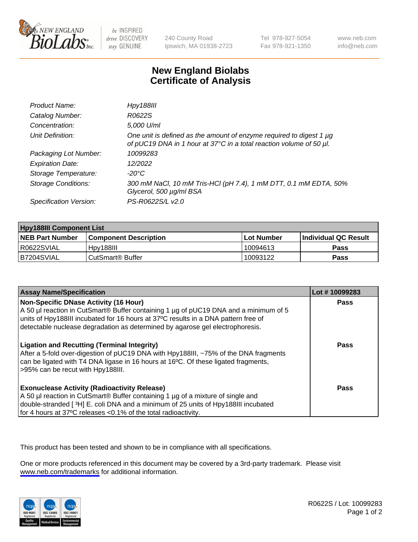

be INSPIRED drive DISCOVERY stay GENUINE

240 County Road Ipswich, MA 01938-2723 Tel 978-927-5054 Fax 978-921-1350

www.neb.com info@neb.com

## **New England Biolabs Certificate of Analysis**

| Product Name:              | <b>Hpy188III</b>                                                                                                                                |
|----------------------------|-------------------------------------------------------------------------------------------------------------------------------------------------|
| Catalog Number:            | R0622S                                                                                                                                          |
| Concentration:             | 5,000 U/ml                                                                                                                                      |
| Unit Definition:           | One unit is defined as the amount of enzyme required to digest 1 $\mu$ g<br>of pUC19 DNA in 1 hour at 37°C in a total reaction volume of 50 µl. |
| Packaging Lot Number:      | 10099283                                                                                                                                        |
| <b>Expiration Date:</b>    | 12/2022                                                                                                                                         |
| Storage Temperature:       | $-20^{\circ}$ C                                                                                                                                 |
| <b>Storage Conditions:</b> | 300 mM NaCl, 10 mM Tris-HCl (pH 7.4), 1 mM DTT, 0.1 mM EDTA, 50%<br>Glycerol, 500 µg/ml BSA                                                     |
| Specification Version:     | PS-R0622S/L v2.0                                                                                                                                |

| <b>Hpy188III Component List</b> |                              |              |                             |  |
|---------------------------------|------------------------------|--------------|-----------------------------|--|
| <b>NEB Part Number</b>          | l Component Description      | l Lot Number | <b>Individual QC Result</b> |  |
| I R0622SVIAL                    | Hov188III                    | 10094613     | <b>Pass</b>                 |  |
| B7204SVIAL                      | CutSmart <sup>®</sup> Buffer | 10093122     | <b>Pass</b>                 |  |

| <b>Assay Name/Specification</b>                                                                                                                                                                                                                                                                            | Lot #10099283 |
|------------------------------------------------------------------------------------------------------------------------------------------------------------------------------------------------------------------------------------------------------------------------------------------------------------|---------------|
| Non-Specific DNase Activity (16 Hour)<br>A 50 µl reaction in CutSmart® Buffer containing 1 µg of pUC19 DNA and a minimum of 5<br>units of Hpy188III incubated for 16 hours at 37°C results in a DNA pattern free of<br>detectable nuclease degradation as determined by agarose gel electrophoresis.       | Pass          |
| <b>Ligation and Recutting (Terminal Integrity)</b><br>After a 5-fold over-digestion of pUC19 DNA with Hpy188III, ~75% of the DNA fragments<br>can be ligated with T4 DNA ligase in 16 hours at 16 <sup>o</sup> C. Of these ligated fragments,<br>>95% can be recut with Hpy188III.                         | Pass          |
| <b>Exonuclease Activity (Radioactivity Release)</b><br>A 50 µl reaction in CutSmart® Buffer containing 1 µg of a mixture of single and<br>double-stranded [ <sup>3</sup> H] E. coli DNA and a minimum of 25 units of Hpy188III incubated<br>for 4 hours at 37°C releases <0.1% of the total radioactivity. | Pass          |

This product has been tested and shown to be in compliance with all specifications.

One or more products referenced in this document may be covered by a 3rd-party trademark. Please visit <www.neb.com/trademarks>for additional information.